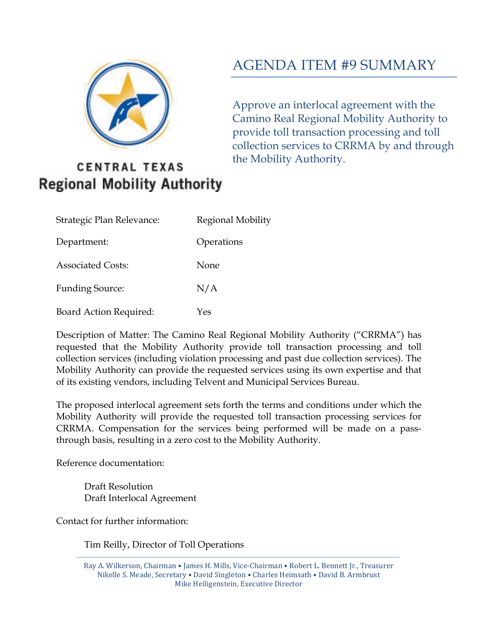

# AGENDA ITEM #9 SUMMARY

Approve an interlocal agreement with the Camino Real Regional Mobility Authority to provide toll transaction processing and toll collection services to CRRMA by and through the Mobility Authority.

## **CENTRAL TEXAS Regional Mobility Authority**

| Strategic Plan Relevance:     | Regional Mobility |
|-------------------------------|-------------------|
| Department:                   | Operations        |
| <b>Associated Costs:</b>      | None              |
| <b>Funding Source:</b>        | N/A               |
| <b>Board Action Required:</b> | Yes               |

Description of Matter: The Camino Real Regional Mobility Authority ("CRRMA") has requested that the Mobility Authority provide toll transaction processing and toll collection services (including violation processing and past due collection services). The Mobility Authority can provide the requested services using its own expertise and that of its existing vendors, including Telvent and Municipal Services Bureau.

The proposed interlocal agreement sets forth the terms and conditions under which the Mobility Authority will provide the requested toll transaction processing services for CRRMA. Compensation for the services being performed will be made on a passthrough basis, resulting in a zero cost to the Mobility Authority.

Reference documentation:

Draft Resolution Draft Interlocal Agreement

Contact for further information:

Tim Reilly, Director of Toll Operations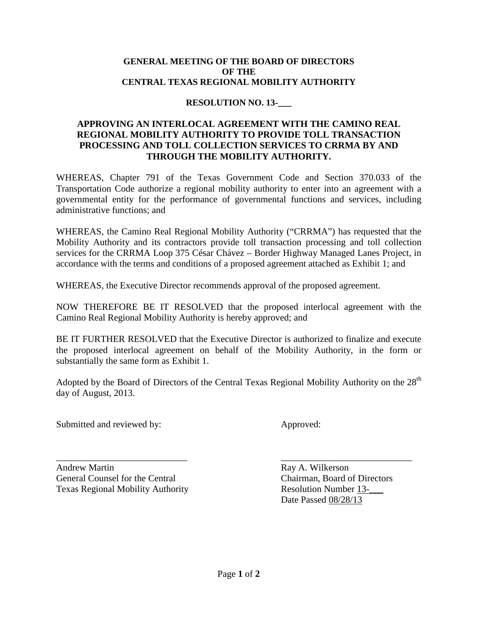#### **GENERAL MEETING OF THE BOARD OF DIRECTORS OF THE CENTRAL TEXAS REGIONAL MOBILITY AUTHORITY**

### **RESOLUTION NO. 13-\_\_\_**

#### **APPROVING AN INTERLOCAL AGREEMENT WITH THE CAMINO REAL REGIONAL MOBILITY AUTHORITY TO PROVIDE TOLL TRANSACTION PROCESSING AND TOLL COLLECTION SERVICES TO CRRMA BY AND THROUGH THE MOBILITY AUTHORITY.**

WHEREAS, Chapter 791 of the Texas Government Code and Section 370.033 of the Transportation Code authorize a regional mobility authority to enter into an agreement with a governmental entity for the performance of governmental functions and services, including administrative functions; and

WHEREAS, the Camino Real Regional Mobility Authority ("CRRMA") has requested that the Mobility Authority and its contractors provide toll transaction processing and toll collection services for the CRRMA Loop 375 César Chávez – Border Highway Managed Lanes Project, in accordance with the terms and conditions of a proposed agreement attached as Exhibit 1; and

WHEREAS, the Executive Director recommends approval of the proposed agreement.

NOW THEREFORE BE IT RESOLVED that the proposed interlocal agreement with the Camino Real Regional Mobility Authority is hereby approved; and

BE IT FURTHER RESOLVED that the Executive Director is authorized to finalize and execute the proposed interlocal agreement on behalf of the Mobility Authority, in the form or substantially the same form as Exhibit 1.

Adopted by the Board of Directors of the Central Texas Regional Mobility Authority on the  $28<sup>th</sup>$ day of August, 2013.

Submitted and reviewed by: Approved:

Andrew Martin **Ray A. Wilkerson** General Counsel for the Central Chairman, Board of Directors Texas Regional Mobility Authority **Resolution Number 13-**

\_\_\_\_\_\_\_\_\_\_\_\_\_\_\_\_\_\_\_\_\_\_\_\_\_\_\_\_ \_\_\_\_\_\_\_\_\_\_\_\_\_\_\_\_\_\_\_\_\_\_\_\_\_\_\_\_ Date Passed 08/28/13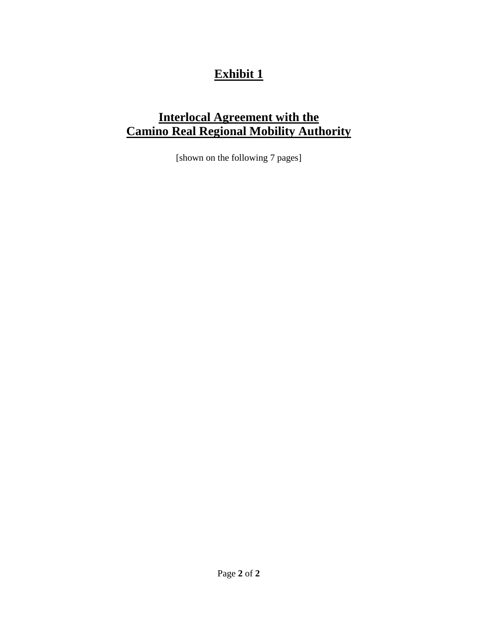## **Exhibit 1**

## **Interlocal Agreement with the Camino Real Regional Mobility Authority**

[shown on the following 7 pages]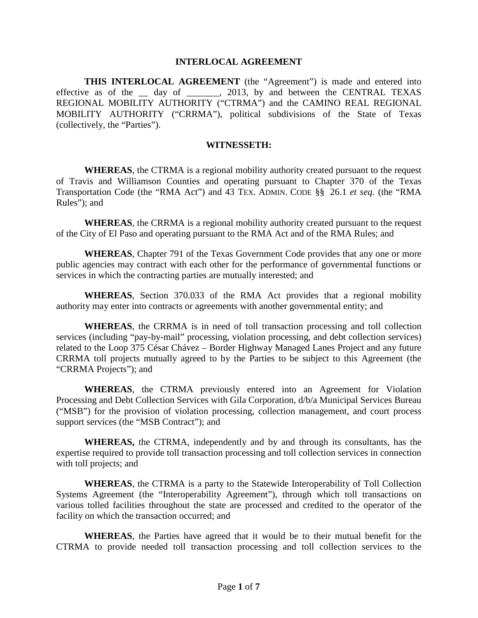#### **INTERLOCAL AGREEMENT**

**THIS INTERLOCAL AGREEMENT** (the "Agreement") is made and entered into effective as of the \_\_ day of \_\_\_\_\_\_, 2013, by and between the CENTRAL TEXAS REGIONAL MOBILITY AUTHORITY ("CTRMA") and the CAMINO REAL REGIONAL MOBILITY AUTHORITY ("CRRMA"), political subdivisions of the State of Texas (collectively, the "Parties").

#### **WITNESSETH:**

**WHEREAS**, the CTRMA is a regional mobility authority created pursuant to the request of Travis and Williamson Counties and operating pursuant to Chapter 370 of the Texas Transportation Code (the "RMA Act") and 43 TEX. ADMIN. CODE §§ 26.1 *et seq.* (the "RMA Rules"); and

**WHEREAS**, the CRRMA is a regional mobility authority created pursuant to the request of the City of El Paso and operating pursuant to the RMA Act and of the RMA Rules; and

**WHEREAS**, Chapter 791 of the Texas Government Code provides that any one or more public agencies may contract with each other for the performance of governmental functions or services in which the contracting parties are mutually interested; and

**WHEREAS**, Section 370.033 of the RMA Act provides that a regional mobility authority may enter into contracts or agreements with another governmental entity; and

**WHEREAS**, the CRRMA is in need of toll transaction processing and toll collection services (including "pay-by-mail" processing, violation processing, and debt collection services) related to the Loop 375 César Chávez – Border Highway Managed Lanes Project and any future CRRMA toll projects mutually agreed to by the Parties to be subject to this Agreement (the "CRRMA Projects"); and

**WHEREAS**, the CTRMA previously entered into an Agreement for Violation Processing and Debt Collection Services with Gila Corporation, d/b/a Municipal Services Bureau ("MSB") for the provision of violation processing, collection management, and court process support services (the "MSB Contract"); and

**WHEREAS,** the CTRMA, independently and by and through its consultants, has the expertise required to provide toll transaction processing and toll collection services in connection with toll projects; and

**WHEREAS**, the CTRMA is a party to the Statewide Interoperability of Toll Collection Systems Agreement (the "Interoperability Agreement"), through which toll transactions on various tolled facilities throughout the state are processed and credited to the operator of the facility on which the transaction occurred; and

**WHEREAS**, the Parties have agreed that it would be to their mutual benefit for the CTRMA to provide needed toll transaction processing and toll collection services to the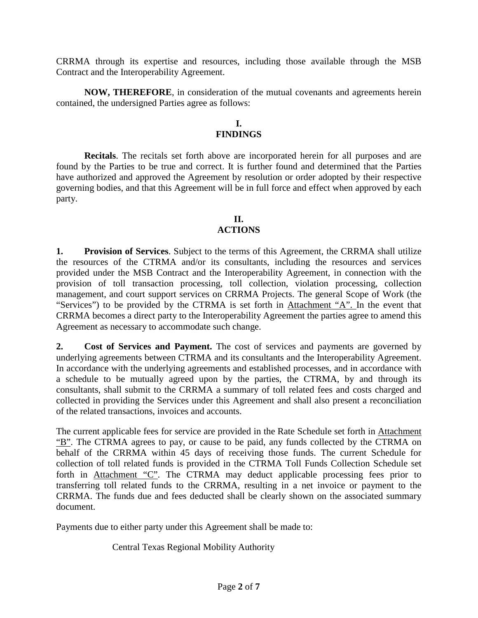CRRMA through its expertise and resources, including those available through the MSB Contract and the Interoperability Agreement.

**NOW, THEREFORE**, in consideration of the mutual covenants and agreements herein contained, the undersigned Parties agree as follows:

#### **I. FINDINGS**

**Recitals**. The recitals set forth above are incorporated herein for all purposes and are found by the Parties to be true and correct. It is further found and determined that the Parties have authorized and approved the Agreement by resolution or order adopted by their respective governing bodies, and that this Agreement will be in full force and effect when approved by each party.

## **II.**

### **ACTIONS**

**1. Provision of Services**. Subject to the terms of this Agreement, the CRRMA shall utilize the resources of the CTRMA and/or its consultants, including the resources and services provided under the MSB Contract and the Interoperability Agreement, in connection with the provision of toll transaction processing, toll collection, violation processing, collection management, and court support services on CRRMA Projects. The general Scope of Work (the "Services") to be provided by the CTRMA is set forth in Attachment "A". In the event that CRRMA becomes a direct party to the Interoperability Agreement the parties agree to amend this Agreement as necessary to accommodate such change.

**2. Cost of Services and Payment.** The cost of services and payments are governed by underlying agreements between CTRMA and its consultants and the Interoperability Agreement. In accordance with the underlying agreements and established processes, and in accordance with a schedule to be mutually agreed upon by the parties, the CTRMA, by and through its consultants, shall submit to the CRRMA a summary of toll related fees and costs charged and collected in providing the Services under this Agreement and shall also present a reconciliation of the related transactions, invoices and accounts.

The current applicable fees for service are provided in the Rate Schedule set forth in Attachment "B". The CTRMA agrees to pay, or cause to be paid, any funds collected by the CTRMA on behalf of the CRRMA within 45 days of receiving those funds. The current Schedule for collection of toll related funds is provided in the CTRMA Toll Funds Collection Schedule set forth in Attachment "C". The CTRMA may deduct applicable processing fees prior to transferring toll related funds to the CRRMA, resulting in a net invoice or payment to the CRRMA. The funds due and fees deducted shall be clearly shown on the associated summary document.

Payments due to either party under this Agreement shall be made to:

Central Texas Regional Mobility Authority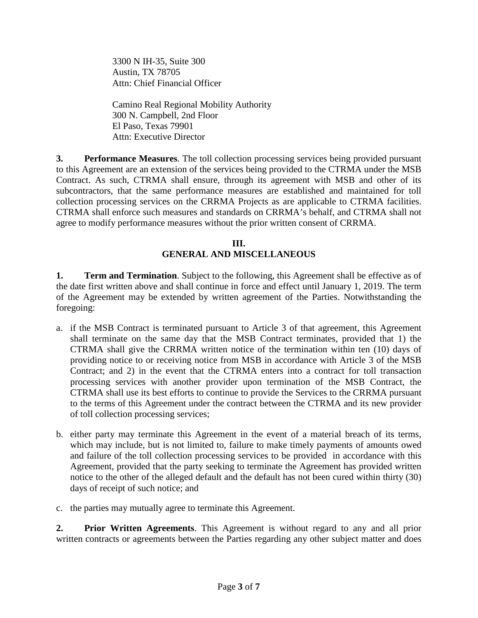3300 N IH-35, Suite 300 Austin, TX 78705 Attn: Chief Financial Officer

Camino Real Regional Mobility Authority 300 N. Campbell, 2nd Floor El Paso, Texas 79901 Attn: Executive Director

**3. Performance Measures**. The toll collection processing services being provided pursuant to this Agreement are an extension of the services being provided to the CTRMA under the MSB Contract. As such, CTRMA shall ensure, through its agreement with MSB and other of its subcontractors, that the same performance measures are established and maintained for toll collection processing services on the CRRMA Projects as are applicable to CTRMA facilities. CTRMA shall enforce such measures and standards on CRRMA's behalf, and CTRMA shall not agree to modify performance measures without the prior written consent of CRRMA.

#### **III. GENERAL AND MISCELLANEOUS**

**1. Term and Termination**. Subject to the following, this Agreement shall be effective as of the date first written above and shall continue in force and effect until January 1, 2019. The term of the Agreement may be extended by written agreement of the Parties. Notwithstanding the foregoing:

- a. if the MSB Contract is terminated pursuant to Article 3 of that agreement, this Agreement shall terminate on the same day that the MSB Contract terminates, provided that 1) the CTRMA shall give the CRRMA written notice of the termination within ten (10) days of providing notice to or receiving notice from MSB in accordance with Article 3 of the MSB Contract; and 2) in the event that the CTRMA enters into a contract for toll transaction processing services with another provider upon termination of the MSB Contract, the CTRMA shall use its best efforts to continue to provide the Services to the CRRMA pursuant to the terms of this Agreement under the contract between the CTRMA and its new provider of toll collection processing services;
- b. either party may terminate this Agreement in the event of a material breach of its terms, which may include, but is not limited to, failure to make timely payments of amounts owed and failure of the toll collection processing services to be provided in accordance with this Agreement, provided that the party seeking to terminate the Agreement has provided written notice to the other of the alleged default and the default has not been cured within thirty (30) days of receipt of such notice; and
- c. the parties may mutually agree to terminate this Agreement.

**2. Prior Written Agreements**. This Agreement is without regard to any and all prior written contracts or agreements between the Parties regarding any other subject matter and does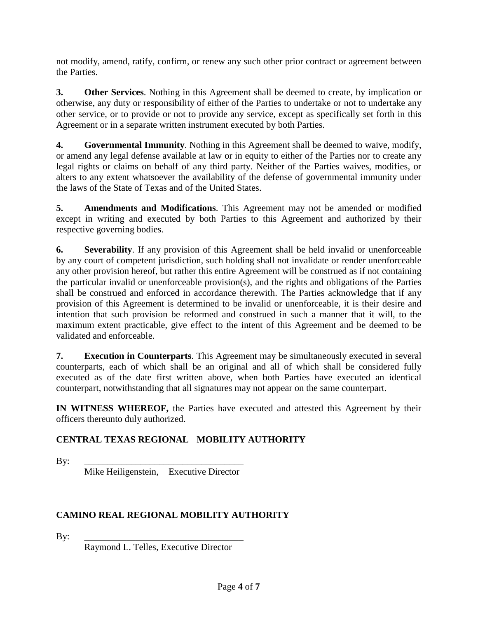not modify, amend, ratify, confirm, or renew any such other prior contract or agreement between the Parties.

**3. Other Services**. Nothing in this Agreement shall be deemed to create, by implication or otherwise, any duty or responsibility of either of the Parties to undertake or not to undertake any other service, or to provide or not to provide any service, except as specifically set forth in this Agreement or in a separate written instrument executed by both Parties.

**4. Governmental Immunity**. Nothing in this Agreement shall be deemed to waive, modify, or amend any legal defense available at law or in equity to either of the Parties nor to create any legal rights or claims on behalf of any third party. Neither of the Parties waives, modifies, or alters to any extent whatsoever the availability of the defense of governmental immunity under the laws of the State of Texas and of the United States.

**5. Amendments and Modifications**. This Agreement may not be amended or modified except in writing and executed by both Parties to this Agreement and authorized by their respective governing bodies.

**6. Severability**. If any provision of this Agreement shall be held invalid or unenforceable by any court of competent jurisdiction, such holding shall not invalidate or render unenforceable any other provision hereof, but rather this entire Agreement will be construed as if not containing the particular invalid or unenforceable provision(s), and the rights and obligations of the Parties shall be construed and enforced in accordance therewith. The Parties acknowledge that if any provision of this Agreement is determined to be invalid or unenforceable, it is their desire and intention that such provision be reformed and construed in such a manner that it will, to the maximum extent practicable, give effect to the intent of this Agreement and be deemed to be validated and enforceable.

**7. Execution in Counterparts**. This Agreement may be simultaneously executed in several counterparts, each of which shall be an original and all of which shall be considered fully executed as of the date first written above, when both Parties have executed an identical counterpart, notwithstanding that all signatures may not appear on the same counterpart.

**IN WITNESS WHEREOF,** the Parties have executed and attested this Agreement by their officers thereunto duly authorized.

## **CENTRAL TEXAS REGIONAL MOBILITY AUTHORITY**

By: \_\_\_\_\_\_\_\_\_\_\_\_\_\_\_\_\_\_\_\_\_\_\_\_\_\_\_\_\_\_\_\_\_\_

Mike Heiligenstein, Executive Director

## **CAMINO REAL REGIONAL MOBILITY AUTHORITY**

By: \_\_\_\_\_\_\_\_\_\_\_\_\_\_\_\_\_\_\_\_\_\_\_\_\_\_\_\_\_\_\_\_\_\_

Raymond L. Telles, Executive Director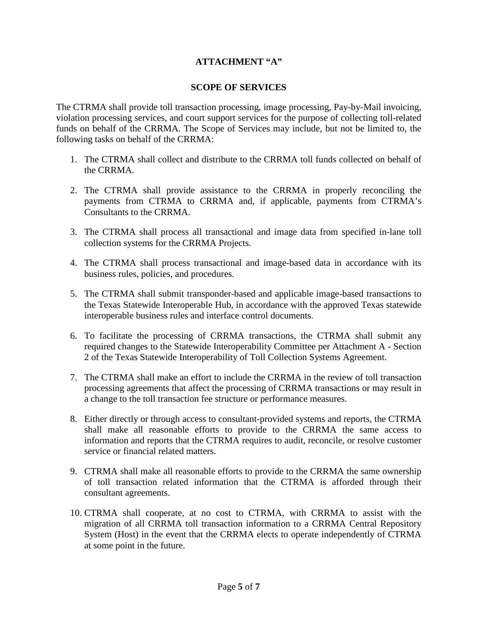### **ATTACHMENT "A"**

#### **SCOPE OF SERVICES**

The CTRMA shall provide toll transaction processing, image processing, Pay-by-Mail invoicing, violation processing services, and court support services for the purpose of collecting toll-related funds on behalf of the CRRMA. The Scope of Services may include, but not be limited to, the following tasks on behalf of the CRRMA:

- 1. The CTRMA shall collect and distribute to the CRRMA toll funds collected on behalf of the CRRMA.
- 2. The CTRMA shall provide assistance to the CRRMA in properly reconciling the payments from CTRMA to CRRMA and, if applicable, payments from CTRMA's Consultants to the CRRMA.
- 3. The CTRMA shall process all transactional and image data from specified in-lane toll collection systems for the CRRMA Projects.
- 4. The CTRMA shall process transactional and image-based data in accordance with its business rules, policies, and procedures.
- 5. The CTRMA shall submit transponder-based and applicable image-based transactions to the Texas Statewide Interoperable Hub, in accordance with the approved Texas statewide interoperable business rules and interface control documents.
- 6. To facilitate the processing of CRRMA transactions, the CTRMA shall submit any required changes to the Statewide Interoperability Committee per Attachment A - Section 2 of the Texas Statewide Interoperability of Toll Collection Systems Agreement.
- 7. The CTRMA shall make an effort to include the CRRMA in the review of toll transaction processing agreements that affect the processing of CRRMA transactions or may result in a change to the toll transaction fee structure or performance measures.
- 8. Either directly or through access to consultant-provided systems and reports, the CTRMA shall make all reasonable efforts to provide to the CRRMA the same access to information and reports that the CTRMA requires to audit, reconcile, or resolve customer service or financial related matters.
- 9. CTRMA shall make all reasonable efforts to provide to the CRRMA the same ownership of toll transaction related information that the CTRMA is afforded through their consultant agreements.
- 10. CTRMA shall cooperate, at no cost to CTRMA, with CRRMA to assist with the migration of all CRRMA toll transaction information to a CRRMA Central Repository System (Host) in the event that the CRRMA elects to operate independently of CTRMA at some point in the future.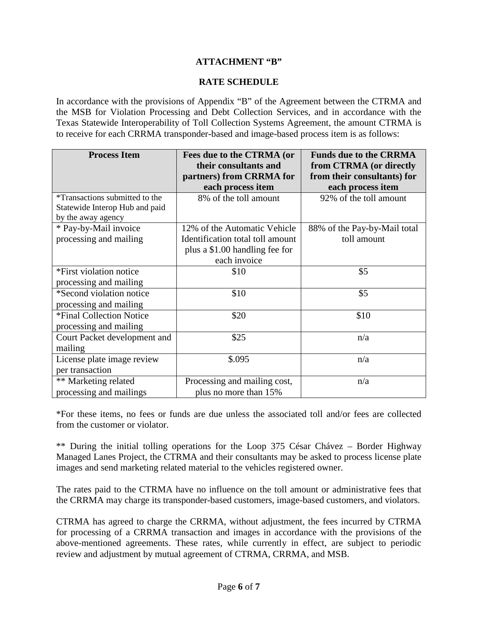### **ATTACHMENT "B"**

#### **RATE SCHEDULE**

In accordance with the provisions of Appendix "B" of the Agreement between the CTRMA and the MSB for Violation Processing and Debt Collection Services, and in accordance with the Texas Statewide Interoperability of Toll Collection Systems Agreement, the amount CTRMA is to receive for each CRRMA transponder-based and image-based process item is as follows:

| <b>Process Item</b>                   | Fees due to the CTRMA (or        | <b>Funds due to the CRRMA</b> |
|---------------------------------------|----------------------------------|-------------------------------|
|                                       | their consultants and            | from CTRMA (or directly       |
|                                       | partners) from CRRMA for         | from their consultants) for   |
|                                       | each process item                | each process item             |
| <i>*Transactions submitted to the</i> | 8% of the toll amount            | 92% of the toll amount        |
| Statewide Interop Hub and paid        |                                  |                               |
| by the away agency                    |                                  |                               |
| * Pay-by-Mail invoice                 | 12% of the Automatic Vehicle     | 88% of the Pay-by-Mail total  |
| processing and mailing                | Identification total toll amount | toll amount                   |
|                                       | plus a \$1.00 handling fee for   |                               |
|                                       | each invoice                     |                               |
| *First violation notice               | \$10                             | \$5                           |
| processing and mailing                |                                  |                               |
| *Second violation notice              | \$10                             | \$5                           |
| processing and mailing                |                                  |                               |
| *Final Collection Notice              | \$20                             | \$10                          |
| processing and mailing                |                                  |                               |
| Court Packet development and          | \$25                             | n/a                           |
| mailing                               |                                  |                               |
| License plate image review            | \$.095                           | n/a                           |
| per transaction                       |                                  |                               |
| ** Marketing related                  | Processing and mailing cost,     | n/a                           |
| processing and mailings               | plus no more than 15%            |                               |

\*For these items, no fees or funds are due unless the associated toll and/or fees are collected from the customer or violator.

\*\* During the initial tolling operations for the Loop 375 César Chávez – Border Highway Managed Lanes Project, the CTRMA and their consultants may be asked to process license plate images and send marketing related material to the vehicles registered owner.

The rates paid to the CTRMA have no influence on the toll amount or administrative fees that the CRRMA may charge its transponder-based customers, image-based customers, and violators.

CTRMA has agreed to charge the CRRMA, without adjustment, the fees incurred by CTRMA for processing of a CRRMA transaction and images in accordance with the provisions of the above-mentioned agreements. These rates, while currently in effect, are subject to periodic review and adjustment by mutual agreement of CTRMA, CRRMA, and MSB.